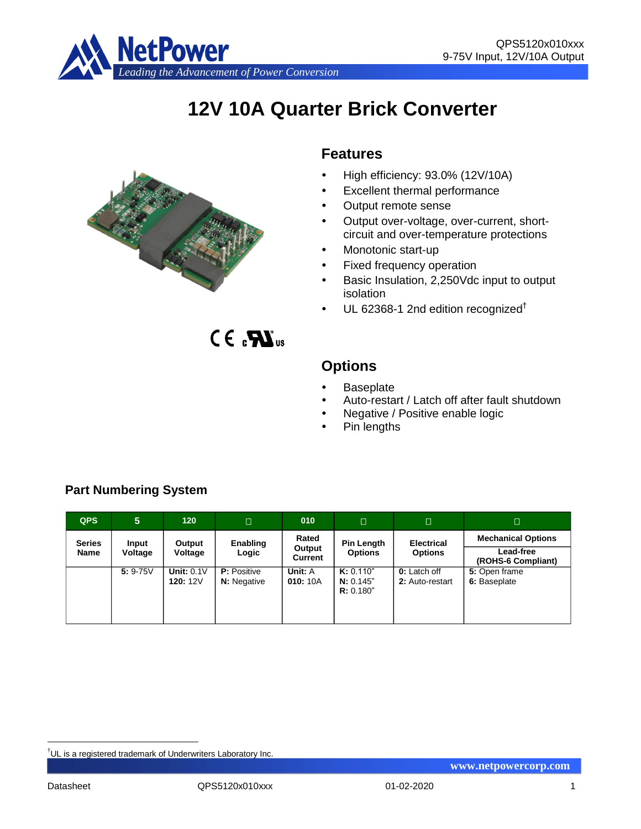

# **12V 10A Quarter Brick Converter**



 $CE_{c}M_{us}$ 

## **Features**

- High efficiency: 93.0% (12V/10A)
- Excellent thermal performance
- Output remote sense
- Output over-voltage, over-current, shortcircuit and over-temperature protections
- Monotonic start-up
- Fixed frequency operation
- Basic Insulation, 2,250Vdc input to output isolation
- $\cdot$  UL 62368-1 2nd edition recognized<sup>†</sup>

# **Options**

- **Baseplate**
- Auto-restart / Latch off after fault shutdown
- Negative / Positive enable logic
- Pin lengths

| <b>QPS</b>            | 5                | 120                     | П                                        | 010                               | $\Box$                              | О                                      | $\Box$                                                       |
|-----------------------|------------------|-------------------------|------------------------------------------|-----------------------------------|-------------------------------------|----------------------------------------|--------------------------------------------------------------|
| <b>Series</b><br>Name | Input<br>Voltage | Output<br>Voltage       | Enabling<br>Logic                        | Rated<br>Output<br><b>Current</b> | <b>Pin Length</b><br><b>Options</b> | <b>Electrical</b><br><b>Options</b>    | <b>Mechanical Options</b><br>Lead-free<br>(ROHS-6 Compliant) |
|                       | $5: 9-75V$       | Unit: $0.1V$<br>120:12V | <b>P:</b> Positive<br><b>N:</b> Negative | Unit: A<br>010:10A                | K: 0.110"<br>N: 0.145"<br>R: 0.180" | <b>0:</b> Latch off<br>2: Auto-restart | 5: Open frame<br>6: Baseplate                                |

## **Part Numbering System**

<u>.</u>

<sup>†</sup>UL is a registered trademark of Underwriters Laboratory Inc.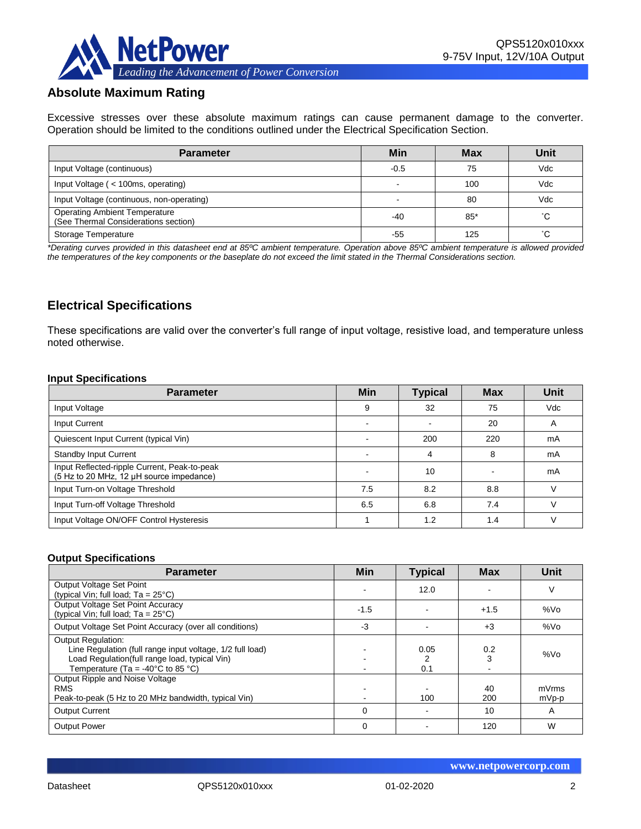

## **Absolute Maximum Rating**

Excessive stresses over these absolute maximum ratings can cause permanent damage to the converter. Operation should be limited to the conditions outlined under the Electrical Specification Section.

| <b>Parameter</b>                                                             | Min    | <b>Max</b> | Unit |
|------------------------------------------------------------------------------|--------|------------|------|
| Input Voltage (continuous)                                                   | $-0.5$ | 75         | Vdc  |
| Input Voltage (< 100ms, operating)                                           |        | 100        | Vdc  |
| Input Voltage (continuous, non-operating)                                    |        | 80         | Vdc  |
| <b>Operating Ambient Temperature</b><br>(See Thermal Considerations section) | $-40$  | $85*$      | °С   |
| Storage Temperature                                                          | -55    | 125        | °С   |

*\*Derating curves provided in this datasheet end at 85ºC ambient temperature. Operation above 85ºC ambient temperature is allowed provided the temperatures of the key components or the baseplate do not exceed the limit stated in the Thermal Considerations section.*

## **Electrical Specifications**

These specifications are valid over the converter's full range of input voltage, resistive load, and temperature unless noted otherwise.

#### **Input Specifications**

| <b>Parameter</b>                                                                         | <b>Min</b> | <b>Typical</b> | <b>Max</b> | Unit       |
|------------------------------------------------------------------------------------------|------------|----------------|------------|------------|
| Input Voltage                                                                            | 9          | 32             | 75         | <b>Vdc</b> |
| Input Current                                                                            |            |                | 20         | A          |
| Quiescent Input Current (typical Vin)                                                    |            | 200            | 220        | mA         |
| <b>Standby Input Current</b>                                                             |            | Δ              | 8          | mA         |
| Input Reflected-ripple Current, Peak-to-peak<br>(5 Hz to 20 MHz, 12 µH source impedance) |            | 10             |            | mA         |
| Input Turn-on Voltage Threshold                                                          | 7.5        | 8.2            | 8.8        | $\sqrt{}$  |
| Input Turn-off Voltage Threshold                                                         | 6.5        | 6.8            | 7.4        |            |
| Input Voltage ON/OFF Control Hysteresis                                                  |            | 1.2            | 1.4        |            |

#### **Output Specifications**

| <b>Parameter</b>                                                                                                                                                                                  | <b>Min</b> | <b>Typical</b> | <b>Max</b> | Unit            |
|---------------------------------------------------------------------------------------------------------------------------------------------------------------------------------------------------|------------|----------------|------------|-----------------|
| Output Voltage Set Point<br>(typical Vin; full load; $Ta = 25^{\circ}C$ )                                                                                                                         |            | 12.0           |            | V               |
| Output Voltage Set Point Accuracy<br>(typical Vin; full load; $Ta = 25^{\circ}C$ )                                                                                                                | $-1.5$     |                | $+1.5$     | %V <sub>O</sub> |
| Output Voltage Set Point Accuracy (over all conditions)                                                                                                                                           | $-3$       |                | $+3$       | %Vo             |
| <b>Output Regulation:</b><br>Line Regulation (full range input voltage, 1/2 full load)<br>Load Regulation(full range load, typical Vin)<br>Temperature (Ta = -40 $^{\circ}$ C to 85 $^{\circ}$ C) |            | 0.05<br>0.1    | 0.2        | %Vo             |
| Output Ripple and Noise Voltage<br><b>RMS</b><br>Peak-to-peak (5 Hz to 20 MHz bandwidth, typical Vin)                                                                                             |            | 100            | 40<br>200  | mVrms<br>mVp-p  |
| <b>Output Current</b>                                                                                                                                                                             | $\Omega$   |                | 10         | A               |
| <b>Output Power</b>                                                                                                                                                                               | $\Omega$   |                | 120        | W               |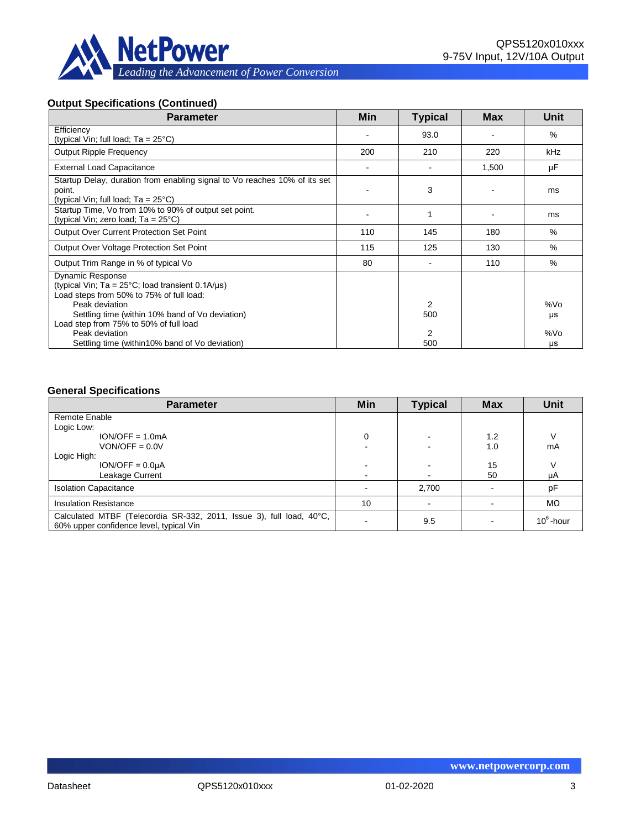

## **Output Specifications (Continued)**

| <b>Parameter</b>                                                                                                                         | Min | <b>Typical</b>       | <b>Max</b> | <b>Unit</b> |
|------------------------------------------------------------------------------------------------------------------------------------------|-----|----------------------|------------|-------------|
| Efficiency<br>(typical Vin; full load; $Ta = 25^{\circ}C$ )                                                                              |     | 93.0                 |            | $\%$        |
| <b>Output Ripple Frequency</b>                                                                                                           | 200 | 210                  | 220        | kHz         |
| <b>External Load Capacitance</b>                                                                                                         |     |                      | 1,500      | μF          |
| Startup Delay, duration from enabling signal to Vo reaches 10% of its set<br>point.<br>(typical Vin; full load; $Ta = 25^{\circ}C$ )     |     | 3                    |            | ms          |
| Startup Time, Vo from 10% to 90% of output set point.<br>(typical Vin; zero load; $Ta = 25^{\circ}C$ )                                   |     |                      |            | ms          |
| <b>Output Over Current Protection Set Point</b>                                                                                          | 110 | 145                  | 180        | $\%$        |
| Output Over Voltage Protection Set Point                                                                                                 | 115 | 125                  | 130        | $\%$        |
| Output Trim Range in % of typical Vo                                                                                                     | 80  |                      | 110        | $\%$        |
| <b>Dynamic Response</b><br>(typical Vin; $Ta = 25^{\circ}C$ ; load transient 0.1A/ $\mu s$ )<br>Load steps from 50% to 75% of full load: |     |                      |            |             |
| Peak deviation<br>Settling time (within 10% band of Vo deviation)<br>Load step from 75% to 50% of full load                              |     | $\mathcal{P}$<br>500 |            | %Vo<br>μs   |
| Peak deviation<br>Settling time (within 10% band of Vo deviation)                                                                        |     | 2<br>500             |            | %Vo<br>μs   |

#### **General Specifications**

| <b>Parameter</b>                                                                                                | Min    | <b>Typical</b> | <b>Max</b> | <b>Unit</b>  |
|-----------------------------------------------------------------------------------------------------------------|--------|----------------|------------|--------------|
| Remote Enable                                                                                                   |        |                |            |              |
| Logic Low:                                                                                                      |        |                |            |              |
| $ION/OFF = 1.0mA$                                                                                               | 0      |                | 1.2        |              |
| $VON/OFF = 0.0V$                                                                                                |        |                | 1.0        | mA           |
| Logic High:                                                                                                     |        |                |            |              |
| $ION/OFF = 0.0µA$                                                                                               | ۰      |                | 15         |              |
| Leakage Current                                                                                                 | $\sim$ |                | 50         | μA           |
| <b>Isolation Capacitance</b>                                                                                    | $\sim$ | 2,700          |            | pF           |
| <b>Insulation Resistance</b>                                                                                    | 10     |                |            | MΩ           |
| Calculated MTBF (Telecordia SR-332, 2011, Issue 3), full load, 40°C,<br>60% upper confidence level, typical Vin |        | 9.5            |            | $10^6$ -hour |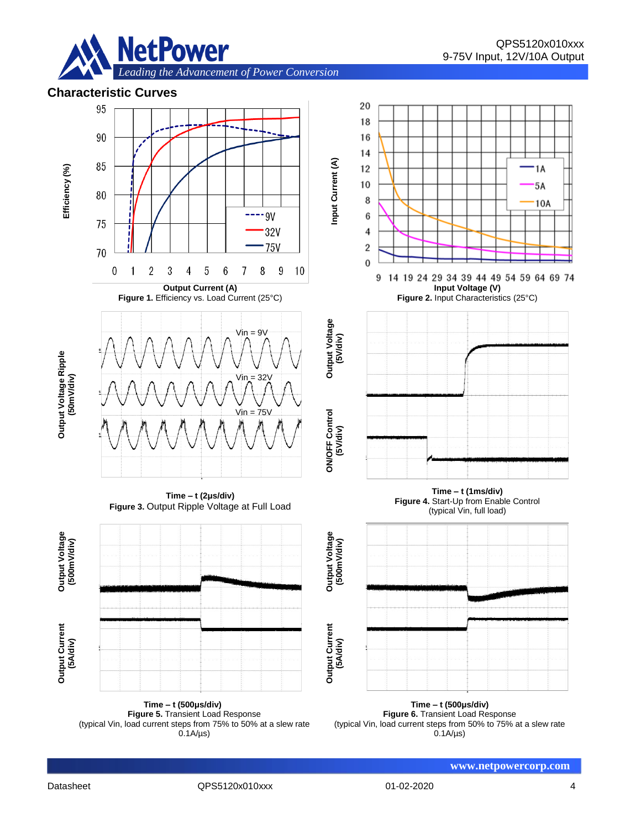

1A

5A

10A





**Time – t (1ms/div)**

(typical Vin, full load)

**Input Voltage (V)**

**Time – t (500μs/div) Figure 5.** Transient Load Response (typical Vin, load current steps from 75% to 50% at a slew rate  $0.1A/\mu s$ 

**Time – t (500μs/div) Figure 6.** Transient Load Response (typical Vin, load current steps from 50% to 75% at a slew rate  $0.1A/\mu s$ 

**www.netpowercorp.com**

**(500m**

**Output Current (5A/div)**

**Output Current**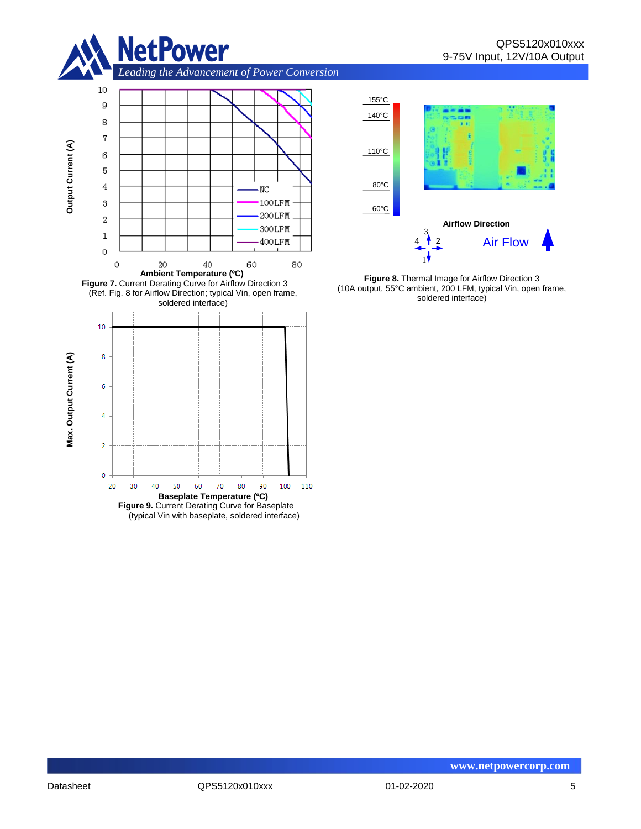







**Figure 8.** Thermal Image for Airflow Direction 3 (10A output, 55°C ambient, 200 LFM, typical Vin, open frame, soldered interface)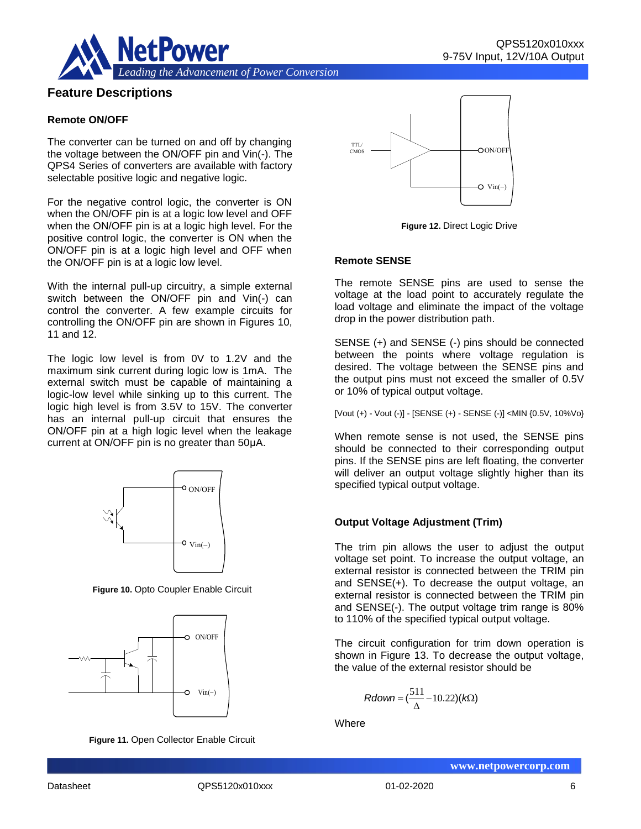

## **Feature Descriptions**

#### **Remote ON/OFF**

The converter can be turned on and off by changing the voltage between the ON/OFF pin and Vin(-). The QPS4 Series of converters are available with factory selectable positive logic and negative logic.

For the negative control logic, the converter is ON when the ON/OFF pin is at a logic low level and OFF when the ON/OFF pin is at a logic high level. For the positive control logic, the converter is ON when the ON/OFF pin is at a logic high level and OFF when the ON/OFF pin is at a logic low level.

With the internal pull-up circuitry, a simple external switch between the ON/OFF pin and Vin(-) can control the converter. A few example circuits for controlling the ON/OFF pin are shown in Figures 10, 11 and 12.

The logic low level is from 0V to 1.2V and the maximum sink current during logic low is 1mA. The external switch must be capable of maintaining a logic-low level while sinking up to this current. The logic high level is from 3.5V to 15V. The converter has an internal pull-up circuit that ensures the ON/OFF pin at a high logic level when the leakage current at ON/OFF pin is no greater than 50μA.



**Figure 10.** Opto Coupler Enable Circuit



**Figure 11.** Open Collector Enable Circuit



**Figure 12.** Direct Logic Drive

#### **Remote SENSE**

The remote SENSE pins are used to sense the voltage at the load point to accurately regulate the load voltage and eliminate the impact of the voltage drop in the power distribution path.

SENSE (+) and SENSE (-) pins should be connected between the points where voltage regulation is desired. The voltage between the SENSE pins and the output pins must not exceed the smaller of 0.5V or 10% of typical output voltage.

[Vout (+) - Vout (-)] - [SENSE (+) - SENSE (-)] <MIN {0.5V, 10%Vo}

When remote sense is not used, the SENSE pins should be connected to their corresponding output pins. If the SENSE pins are left floating, the converter will deliver an output voltage slightly higher than its specified typical output voltage.

#### **Output Voltage Adjustment (Trim)**

The trim pin allows the user to adjust the output voltage set point. To increase the output voltage, an external resistor is connected between the TRIM pin and SENSE(+). To decrease the output voltage, an external resistor is connected between the TRIM pin and SENSE(-). The output voltage trim range is 80% to 110% of the specified typical output voltage.

The circuit configuration for trim down operation is shown in Figure 13. To decrease the output voltage, the value of the external resistor should be

$$
Rdown = (\frac{511}{\Delta} - 10.22)(k\Omega)
$$

**Where**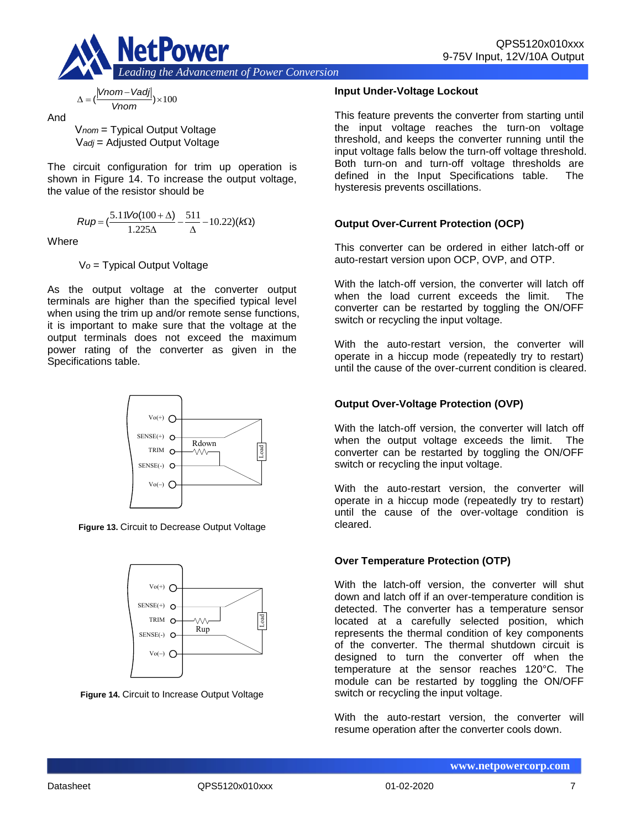

$$
\Delta = (\frac{|Vnom - Vadj|}{Vnom}) \times 100
$$

And

V*nom* = Typical Output Voltage V*adj* = Adjusted Output Voltage

The circuit configuration for trim up operation is shown in Figure 14. To increase the output voltage, the value of the resistor should be

$$
Rup = \left(\frac{5.11\text{Vol}(100 + \Delta)}{1.225\Delta} - \frac{511}{\Delta} - 10.22\right)(k\Omega)
$$

**Where** 

V*o* = Typical Output Voltage

As the output voltage at the converter output terminals are higher than the specified typical level when using the trim up and/or remote sense functions, it is important to make sure that the voltage at the output terminals does not exceed the maximum power rating of the converter as given in the Specifications table.



**Figure 13.** Circuit to Decrease Output Voltage



**Figure 14.** Circuit to Increase Output Voltage

#### **Input Under-Voltage Lockout**

This feature prevents the converter from starting until the input voltage reaches the turn-on voltage threshold, and keeps the converter running until the input voltage falls below the turn-off voltage threshold. Both turn-on and turn-off voltage thresholds are defined in the Input Specifications table. The hysteresis prevents oscillations.

#### **Output Over-Current Protection (OCP)**

This converter can be ordered in either latch-off or auto-restart version upon OCP, OVP, and OTP.

With the latch-off version, the converter will latch off when the load current exceeds the limit. The converter can be restarted by toggling the ON/OFF switch or recycling the input voltage.

With the auto-restart version, the converter will operate in a hiccup mode (repeatedly try to restart) until the cause of the over-current condition is cleared.

## **Output Over-Voltage Protection (OVP)**

With the latch-off version, the converter will latch off when the output voltage exceeds the limit. The converter can be restarted by toggling the ON/OFF switch or recycling the input voltage.

With the auto-restart version, the converter will operate in a hiccup mode (repeatedly try to restart) until the cause of the over-voltage condition is cleared.

#### **Over Temperature Protection (OTP)**

With the latch-off version, the converter will shut down and latch off if an over-temperature condition is detected. The converter has a temperature sensor located at a carefully selected position, which represents the thermal condition of key components of the converter. The thermal shutdown circuit is designed to turn the converter off when the temperature at the sensor reaches 120°C. The module can be restarted by toggling the ON/OFF switch or recycling the input voltage.

With the auto-restart version, the converter will resume operation after the converter cools down.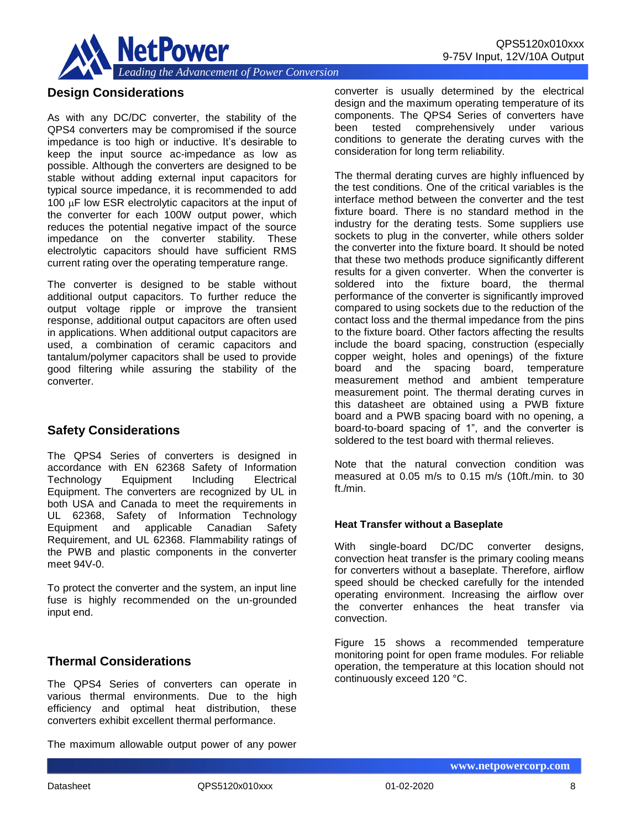

### **Design Considerations**

As with any DC/DC converter, the stability of the QPS4 converters may be compromised if the source impedance is too high or inductive. It's desirable to keep the input source ac-impedance as low as possible. Although the converters are designed to be stable without adding external input capacitors for typical source impedance, it is recommended to add 100  $\mu$ F low ESR electrolytic capacitors at the input of the converter for each 100W output power, which reduces the potential negative impact of the source impedance on the converter stability. These electrolytic capacitors should have sufficient RMS current rating over the operating temperature range.

The converter is designed to be stable without additional output capacitors. To further reduce the output voltage ripple or improve the transient response, additional output capacitors are often used in applications. When additional output capacitors are used, a combination of ceramic capacitors and tantalum/polymer capacitors shall be used to provide good filtering while assuring the stability of the converter.

#### **Safety Considerations**

The QPS4 Series of converters is designed in accordance with EN 62368 Safety of Information Technology Equipment Including Electrical Equipment. The converters are recognized by UL in both USA and Canada to meet the requirements in UL 62368, Safety of Information Technology Equipment and applicable Canadian Safety Requirement, and UL 62368. Flammability ratings of the PWB and plastic components in the converter meet 94V-0.

To protect the converter and the system, an input line fuse is highly recommended on the un-grounded input end.

#### **Thermal Considerations**

The QPS4 Series of converters can operate in various thermal environments. Due to the high efficiency and optimal heat distribution, these converters exhibit excellent thermal performance.

The maximum allowable output power of any power

converter is usually determined by the electrical design and the maximum operating temperature of its components. The QPS4 Series of converters have been tested comprehensively under various conditions to generate the derating curves with the consideration for long term reliability.

The thermal derating curves are highly influenced by the test conditions. One of the critical variables is the interface method between the converter and the test fixture board. There is no standard method in the industry for the derating tests. Some suppliers use sockets to plug in the converter, while others solder the converter into the fixture board. It should be noted that these two methods produce significantly different results for a given converter. When the converter is soldered into the fixture board, the thermal performance of the converter is significantly improved compared to using sockets due to the reduction of the contact loss and the thermal impedance from the pins to the fixture board. Other factors affecting the results include the board spacing, construction (especially copper weight, holes and openings) of the fixture board and the spacing board, temperature measurement method and ambient temperature measurement point. The thermal derating curves in this datasheet are obtained using a PWB fixture board and a PWB spacing board with no opening, a board-to-board spacing of 1", and the converter is soldered to the test board with thermal relieves.

Note that the natural convection condition was measured at 0.05 m/s to 0.15 m/s (10ft./min. to 30 ft./min.

#### **Heat Transfer without a Baseplate**

With single-board DC/DC converter designs, convection heat transfer is the primary cooling means for converters without a baseplate. Therefore, airflow speed should be checked carefully for the intended operating environment. Increasing the airflow over the converter enhances the heat transfer via convection.

Figure 15 shows a recommended temperature monitoring point for open frame modules. For reliable operation, the temperature at this location should not continuously exceed 120 °C.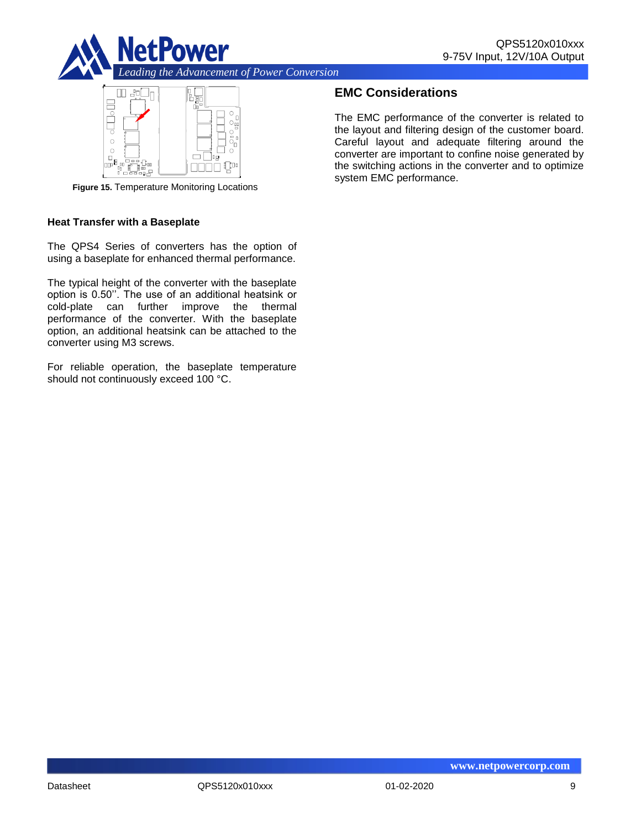



**Figure 15.** Temperature Monitoring Locations

#### **Heat Transfer with a Baseplate**

The QPS4 Series of converters has the option of using a baseplate for enhanced thermal performance.

The typical height of the converter with the baseplate option is 0.50''. The use of an additional heatsink or cold-plate can further improve the thermal performance of the converter. With the baseplate option, an additional heatsink can be attached to the converter using M3 screws.

For reliable operation, the baseplate temperature should not continuously exceed 100 °C.

## **EMC Considerations**

The EMC performance of the converter is related to the layout and filtering design of the customer board. Careful layout and adequate filtering around the converter are important to confine noise generated by the switching actions in the converter and to optimize system EMC performance.